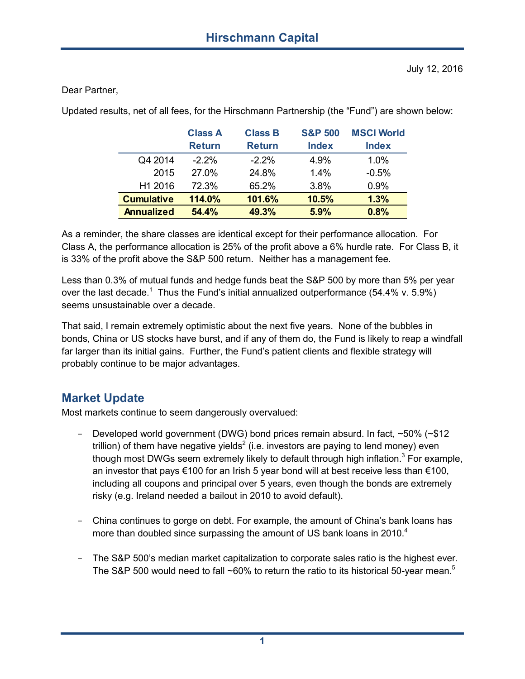Dear Partner,

Updated results, net of all fees, for the Hirschmann Partnership (the "Fund") are shown below:

|                   | <b>Class A</b><br><b>Return</b> | <b>Class B</b><br><b>Return</b> | <b>S&amp;P 500</b><br><b>Index</b> | <b>MSCI World</b><br><b>Index</b> |
|-------------------|---------------------------------|---------------------------------|------------------------------------|-----------------------------------|
|                   |                                 |                                 |                                    |                                   |
| Q4 2014           | $-2.2\%$                        | $-2.2\%$                        | 4.9%                               | 1.0%                              |
| 2015              | 27.0%                           | 24.8%                           | 1.4%                               | $-0.5%$                           |
| H1 2016           | 72.3%                           | 65.2%                           | 3.8%                               | 0.9%                              |
| <b>Cumulative</b> | 114.0%                          | 101.6%                          | 10.5%                              | 1.3%                              |
| <b>Annualized</b> | 54.4%                           | 49.3%                           | 5.9%                               | 0.8%                              |

As a reminder, the share classes are identical except for their performance allocation. For Class A, the performance allocation is 25% of the profit above a 6% hurdle rate. For Class B, it is 33% of the profit above the S&P 500 return. Neither has a management fee.

Less than 0.3% of mutual funds and hedge funds beat the S&P 500 by more than 5% per year over the last decade.<sup>1</sup> Thus the Fund's initial annualized outperformance (54.4% v. 5.9%) seems unsustainable over a decade.

That said, I remain extremely optimistic about the next five years. None of the bubbles in bonds, China or US stocks have burst, and if any of them do, the Fund is likely to reap a windfall far larger than its initial gains. Further, the Fund's patient clients and flexible strategy will probably continue to be major advantages.

## **Market Update**

Most markets continue to seem dangerously overvalued:

- Developed world government (DWG) bond prices remain absurd. In fact, ~50% (~\$12 trillion) of them have negative yields $^2$  (i.e. investors are paying to lend money) even though most DWGs seem extremely likely to default through high inflation.<sup>3</sup> For example, an investor that pays €100 for an Irish 5 year bond will at best receive less than €100, including all coupons and principal over 5 years, even though the bonds are extremely risky (e.g. Ireland needed a bailout in 2010 to avoid default).
- China continues to gorge on debt. For example, the amount of China's bank loans has more than doubled since surpassing the amount of US bank loans in 2010. $4$
- The S&P 500's median market capitalization to corporate sales ratio is the highest ever. The S&P 500 would need to fall  $\sim$ 60% to return the ratio to its historical 50-year mean.<sup>5</sup>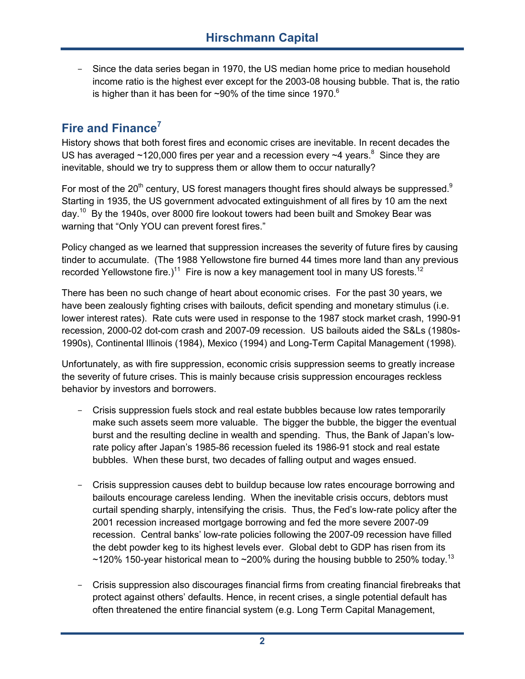- Since the data series began in 1970, the US median home price to median household income ratio is the highest ever except for the 2003-08 housing bubble. That is, the ratio is higher than it has been for ~90% of the time since 1970.<sup>6</sup>

# **Fire and Finance<sup>7</sup>**

History shows that both forest fires and economic crises are inevitable. In recent decades the US has averaged  $\sim$ 120,000 fires per year and a recession every  $\sim$ 4 years.<sup>8</sup> Since they are inevitable, should we try to suppress them or allow them to occur naturally?

For most of the  $20<sup>th</sup>$  century, US forest managers thought fires should always be suppressed.<sup>9</sup> Starting in 1935, the US government advocated extinguishment of all fires by 10 am the next day.<sup>10</sup> By the 1940s, over 8000 fire lookout towers had been built and Smokey Bear was warning that "Only YOU can prevent forest fires."

Policy changed as we learned that suppression increases the severity of future fires by causing tinder to accumulate. (The 1988 Yellowstone fire burned 44 times more land than any previous recorded Yellowstone fire.)<sup>11</sup> Fire is now a key management tool in many US forests.<sup>12</sup>

There has been no such change of heart about economic crises. For the past 30 years, we have been zealously fighting crises with bailouts, deficit spending and monetary stimulus (i.e. lower interest rates). Rate cuts were used in response to the 1987 stock market crash, 1990-91 recession, 2000-02 dot-com crash and 2007-09 recession. US bailouts aided the S&Ls (1980s- 1990s), Continental Illinois (1984), Mexico (1994) and Long-Term Capital Management (1998).

Unfortunately, as with fire suppression, economic crisis suppression seems to greatly increase the severity of future crises. This is mainly because crisis suppression encourages reckless behavior by investors and borrowers.

- Crisis suppression fuels stock and real estate bubbles because low rates temporarily make such assets seem more valuable. The bigger the bubble, the bigger the eventual burst and the resulting decline in wealth and spending. Thus, the Bank of Japan's lowrate policy after Japan's 1985-86 recession fueled its 1986-91 stock and real estate bubbles. When these burst, two decades of falling output and wages ensued.
- Crisis suppression causes debt to buildup because low rates encourage borrowing and bailouts encourage careless lending. When the inevitable crisis occurs, debtors must curtail spending sharply, intensifying the crisis. Thus, the Fed's low-rate policy after the 2001 recession increased mortgage borrowing and fed the more severe 2007-09 recession. Central banks' low-rate policies following the 2007-09 recession have filled the debt powder keg to its highest levels ever. Global debt to GDP has risen from its ~120% 150-year historical mean to ~200% during the housing bubble to 250% today.<sup>13</sup>
- Crisis suppression also discourages financial firms from creating financial firebreaks that protect against others' defaults. Hence, in recent crises, a single potential default has often threatened the entire financial system (e.g. Long Term Capital Management,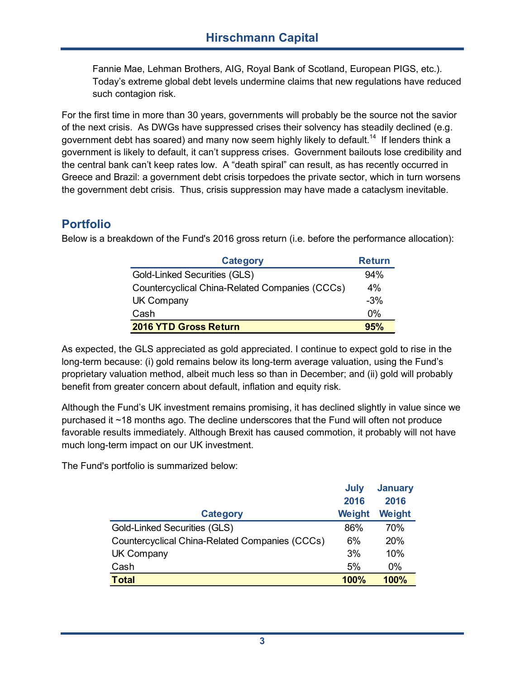Fannie Mae, Lehman Brothers, AIG, Royal Bank of Scotland, European PIGS, etc.). Today's extreme global debt levels undermine claims that new regulations have reduced such contagion risk.

For the first time in more than 30 years, governments will probably be the source not the savior of the next crisis. As DWGs have suppressed crises their solvency has steadily declined (e.g. government debt has soared) and many now seem highly likely to default.<sup>14</sup> If lenders think a government is likely to default, it can't suppress crises. Government bailouts lose credibility and the central bank can't keep rates low. A "death spiral" can result, as has recently occurred in Greece and Brazil: a government debt crisis torpedoes the private sector, which in turn worsens the government debt crisis. Thus, crisis suppression may have made a cataclysm inevitable.

## **Portfolio**

Below is a breakdown of the Fund's 2016 gross return (i.e. before the performance allocation):

| <b>Category</b>                                | <b>Return</b> |
|------------------------------------------------|---------------|
| <b>Gold-Linked Securities (GLS)</b>            | 94%           |
| Countercyclical China-Related Companies (CCCs) | 4%            |
| <b>UK Company</b>                              | $-3%$         |
| Cash                                           | $0\%$         |
| 2016 YTD Gross Return                          | 95%           |

As expected, the GLS appreciated as gold appreciated. I continue to expect gold to rise in the long-term because: (i) gold remains below its long-term average valuation, using the Fund's proprietary valuation method, albeit much less so than in December; and (ii) gold will probably benefit from greater concern about default, inflation and equity risk.

Although the Fund's UK investment remains promising, it has declined slightly in value since we purchased it ~18 months ago. The decline underscores that the Fund will often not produce favorable results immediately. Although Brexit has caused commotion, it probably will not have much long-term impact on our UK investment.

The Fund's portfolio is summarized below:

|                                                | July<br>2016 | <b>January</b><br>2016 |
|------------------------------------------------|--------------|------------------------|
| <b>Category</b>                                | Weight       | Weight                 |
| Gold-Linked Securities (GLS)                   | 86%          | 70%                    |
| Countercyclical China-Related Companies (CCCs) | 6%           | 20%                    |
| <b>UK Company</b>                              | 3%           | 10%                    |
| Cash                                           | 5%           | 0%                     |
| <b>Total</b>                                   | 100%         | 100%                   |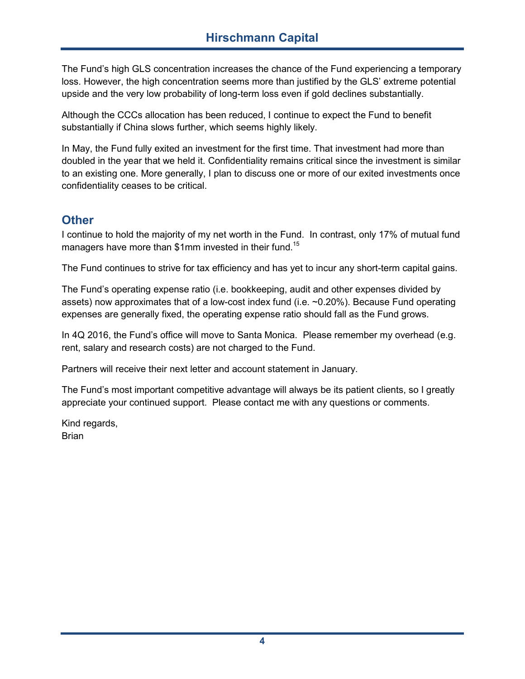## **Hirschmann Capital**

The Fund's high GLS concentration increases the chance of the Fund experiencing a temporary loss. However, the high concentration seems more than justified by the GLS' extreme potential upside and the very low probability of long-term loss even if gold declines substantially.

Although the CCCs allocation has been reduced, I continue to expect the Fund to benefit substantially if China slows further, which seems highly likely.

In May, the Fund fully exited an investment for the first time. That investment had more than doubled in the year that we held it. Confidentiality remains critical since the investment is similar to an existing one. More generally, I plan to discuss one or more of our exited investments once confidentiality ceases to be critical.

#### **Other**

I continue to hold the majority of my net worth in the Fund. In contrast, only 17% of mutual fund managers have more than \$1mm invested in their fund.<sup>15</sup>

The Fund continues to strive for tax efficiency and has yet to incur any short-term capital gains.

The Fund's operating expense ratio (i.e. bookkeeping, audit and other expenses divided by assets) now approximates that of a low-cost index fund (i.e. ~0.20%). Because Fund operating expenses are generally fixed, the operating expense ratio should fall as the Fund grows.

In 4Q 2016, the Fund's office will move to Santa Monica. Please remember my overhead (e.g. rent, salary and research costs) are not charged to the Fund.

Partners will receive their next letter and account statement in January.

The Fund's most important competitive advantage will always be its patient clients, so I greatly appreciate your continued support. Please contact me with any questions or comments.

Kind regards, Brian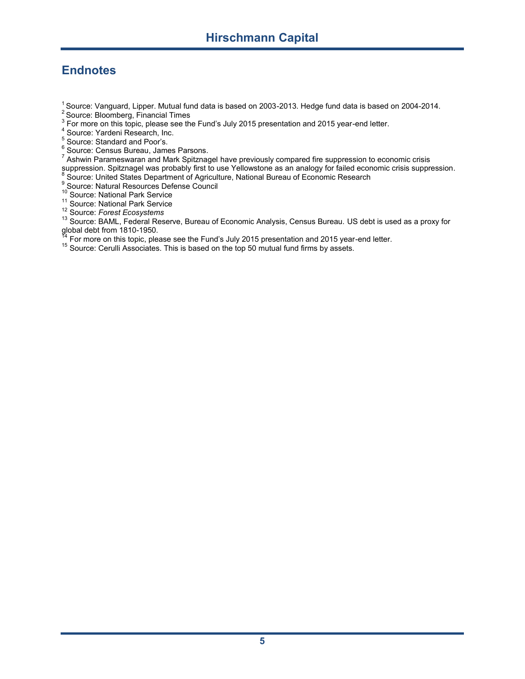# **Endnotes**

<sup>1</sup> Source: Vanguard, Lipper. Mutual fund data is based on 2003-2013. Hedge fund data is based on 2004-2014.<br><sup>2</sup> Source: Bloomberg, Financial Times<br><sup>3</sup> For more on this topic, please see the Fund's July 2015 presentation

A Source: Yardeni Research, Inc.<br>
5 Source: Standard and Poor's.<br>
6 Source: Census Bureau, James Parsons.<br>
7 Ashwin Parameswaran and Mark Spitznagel have previously compared fire suppression to economic crisis suppression. Spitznagel was probably first to use Yellowstone as an analogy for failed economic crisis suppression.<br>8 Source: United States Department of Agriculture, National Bureau of Economic Research

9 Source: Natural Resources Defense Council<br><sup>10</sup> Source: National Park Service

<sup>11</sup> Source: National Park Service

<sup>12</sup> Source: *Forest Ecosystems*

13 Source: BAML, Federal Reserve, Bureau of Economic Analysis, Census Bureau. US debt is used as a proxy for global debt from 1810-1950.<br><sup>14</sup> For more on this topic, please see the Fund's July 2015 presentation and 2015 year-end letter.<br><sup>15</sup> Source: Cerulli Associates. This is based on the top 50 mutual fund firms by assets.